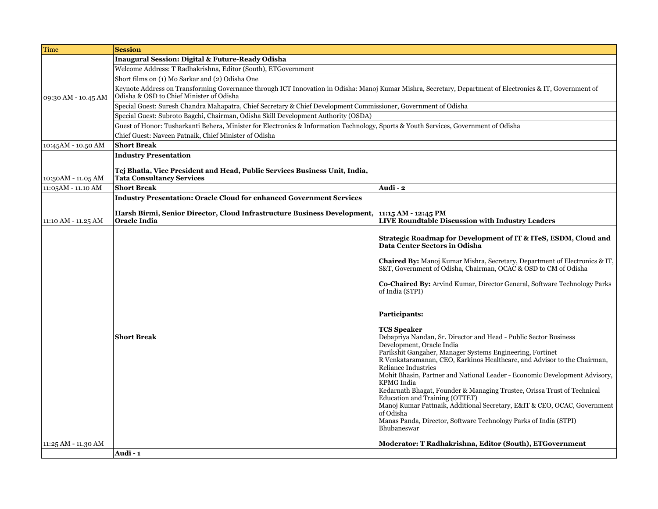| Time                | <b>Session</b>                                                                                                                                                                                        |                                                                                                                                                                                                                                                                                                                                                                                                                                                                                                                                                                                                                                                 |  |
|---------------------|-------------------------------------------------------------------------------------------------------------------------------------------------------------------------------------------------------|-------------------------------------------------------------------------------------------------------------------------------------------------------------------------------------------------------------------------------------------------------------------------------------------------------------------------------------------------------------------------------------------------------------------------------------------------------------------------------------------------------------------------------------------------------------------------------------------------------------------------------------------------|--|
|                     | Inaugural Session: Digital & Future-Ready Odisha                                                                                                                                                      |                                                                                                                                                                                                                                                                                                                                                                                                                                                                                                                                                                                                                                                 |  |
|                     | Welcome Address: T Radhakrishna, Editor (South), ETGovernment                                                                                                                                         |                                                                                                                                                                                                                                                                                                                                                                                                                                                                                                                                                                                                                                                 |  |
|                     | Short films on (1) Mo Sarkar and (2) Odisha One                                                                                                                                                       |                                                                                                                                                                                                                                                                                                                                                                                                                                                                                                                                                                                                                                                 |  |
| 09:30 AM - 10.45 AM | Keynote Address on Transforming Governance through ICT Innovation in Odisha: Manoj Kumar Mishra, Secretary, Department of Electronics & IT, Government of<br>Odisha & OSD to Chief Minister of Odisha |                                                                                                                                                                                                                                                                                                                                                                                                                                                                                                                                                                                                                                                 |  |
|                     | Special Guest: Suresh Chandra Mahapatra, Chief Secretary & Chief Development Commissioner, Government of Odisha                                                                                       |                                                                                                                                                                                                                                                                                                                                                                                                                                                                                                                                                                                                                                                 |  |
|                     | Special Guest: Subroto Bagchi, Chairman, Odisha Skill Development Authority (OSDA)                                                                                                                    |                                                                                                                                                                                                                                                                                                                                                                                                                                                                                                                                                                                                                                                 |  |
|                     | Guest of Honor: Tusharkanti Behera, Minister for Electronics & Information Technology, Sports & Youth Services, Government of Odisha                                                                  |                                                                                                                                                                                                                                                                                                                                                                                                                                                                                                                                                                                                                                                 |  |
|                     | Chief Guest: Naveen Patnaik, Chief Minister of Odisha                                                                                                                                                 |                                                                                                                                                                                                                                                                                                                                                                                                                                                                                                                                                                                                                                                 |  |
| 10:45AM - 10.50 AM  | <b>Short Break</b>                                                                                                                                                                                    |                                                                                                                                                                                                                                                                                                                                                                                                                                                                                                                                                                                                                                                 |  |
|                     | <b>Industry Presentation</b>                                                                                                                                                                          |                                                                                                                                                                                                                                                                                                                                                                                                                                                                                                                                                                                                                                                 |  |
| 10:50AM - 11.05 AM  | Tej Bhatla, Vice President and Head, Public Services Business Unit, India,<br><b>Tata Consultancy Services</b>                                                                                        |                                                                                                                                                                                                                                                                                                                                                                                                                                                                                                                                                                                                                                                 |  |
| 11:05AM - 11.10 AM  | <b>Short Break</b>                                                                                                                                                                                    | Audi - 2                                                                                                                                                                                                                                                                                                                                                                                                                                                                                                                                                                                                                                        |  |
|                     | <b>Industry Presentation: Oracle Cloud for enhanced Government Services</b>                                                                                                                           |                                                                                                                                                                                                                                                                                                                                                                                                                                                                                                                                                                                                                                                 |  |
|                     | Harsh Birmi, Senior Director, Cloud Infrastructure Business Development, 11:15 AM - 12:45 PM                                                                                                          |                                                                                                                                                                                                                                                                                                                                                                                                                                                                                                                                                                                                                                                 |  |
| 11:10 AM - 11.25 AM | Oracle India                                                                                                                                                                                          | <b>LIVE Roundtable Discussion with Industry Leaders</b>                                                                                                                                                                                                                                                                                                                                                                                                                                                                                                                                                                                         |  |
|                     | <b>Short Break</b>                                                                                                                                                                                    | Strategic Roadmap for Development of IT & ITeS, ESDM, Cloud and<br>Data Center Sectors in Odisha<br><b>Chaired By:</b> Manoj Kumar Mishra, Secretary, Department of Electronics & IT,<br>S&T, Government of Odisha, Chairman, OCAC & OSD to CM of Odisha<br><b>Co-Chaired By:</b> Arvind Kumar, Director General, Software Technology Parks<br>of India (STPI)<br>Participants:<br><b>TCS Speaker</b><br>Debapriya Nandan, Sr. Director and Head - Public Sector Business<br>Development, Oracle India<br>Parikshit Gangaher, Manager Systems Engineering, Fortinet<br>R Venkataramanan, CEO, Karkinos Healthcare, and Advisor to the Chairman, |  |
|                     |                                                                                                                                                                                                       | <b>Reliance Industries</b><br>Mohit Bhasin, Partner and National Leader - Economic Development Advisory,<br><b>KPMG</b> India<br>Kedarnath Bhagat, Founder & Managing Trustee, Orissa Trust of Technical<br>Education and Training (OTTET)<br>Manoj Kumar Pattnaik, Additional Secretary, E&IT & CEO, OCAC, Government<br>of Odisha<br>Manas Panda, Director, Software Technology Parks of India (STPI)<br>Bhubaneswar                                                                                                                                                                                                                          |  |
| 11:25 AM - 11.30 AM |                                                                                                                                                                                                       | <b>Moderator: T Radhakrishna, Editor (South), ETGovernment</b>                                                                                                                                                                                                                                                                                                                                                                                                                                                                                                                                                                                  |  |
|                     | Audi - 1                                                                                                                                                                                              |                                                                                                                                                                                                                                                                                                                                                                                                                                                                                                                                                                                                                                                 |  |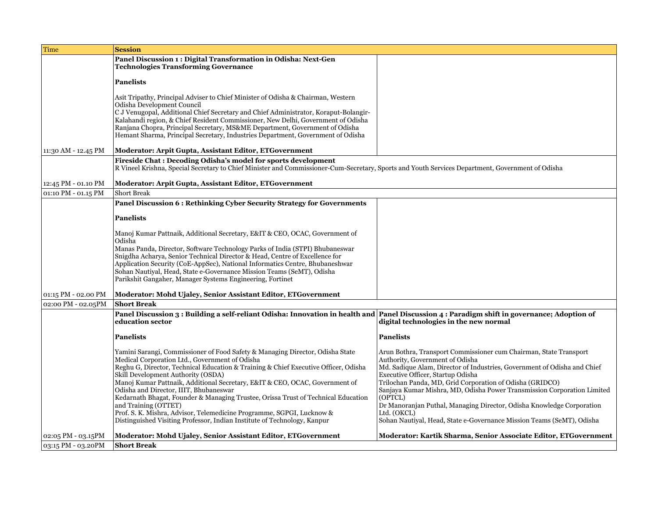| Time                | <b>Session</b>                                                                                                                                                                                                                                                                                                                                                                                                                                                                                                                                                                                                                                          |                                                                                                                                                                                                                                                                                                                                                                                                                                                                                                                                          |
|---------------------|---------------------------------------------------------------------------------------------------------------------------------------------------------------------------------------------------------------------------------------------------------------------------------------------------------------------------------------------------------------------------------------------------------------------------------------------------------------------------------------------------------------------------------------------------------------------------------------------------------------------------------------------------------|------------------------------------------------------------------------------------------------------------------------------------------------------------------------------------------------------------------------------------------------------------------------------------------------------------------------------------------------------------------------------------------------------------------------------------------------------------------------------------------------------------------------------------------|
|                     | Panel Discussion 1: Digital Transformation in Odisha: Next-Gen<br><b>Technologies Transforming Governance</b>                                                                                                                                                                                                                                                                                                                                                                                                                                                                                                                                           |                                                                                                                                                                                                                                                                                                                                                                                                                                                                                                                                          |
|                     | <b>Panelists</b>                                                                                                                                                                                                                                                                                                                                                                                                                                                                                                                                                                                                                                        |                                                                                                                                                                                                                                                                                                                                                                                                                                                                                                                                          |
|                     | Asit Tripathy, Principal Adviser to Chief Minister of Odisha & Chairman, Western<br>Odisha Development Council<br>C J Venugopal, Additional Chief Secretary and Chief Administrator, Koraput-Bolangir-<br>Kalahandi region, & Chief Resident Commissioner, New Delhi, Government of Odisha                                                                                                                                                                                                                                                                                                                                                              |                                                                                                                                                                                                                                                                                                                                                                                                                                                                                                                                          |
|                     | Ranjana Chopra, Principal Secretary, MS&ME Department, Government of Odisha<br>Hemant Sharma, Principal Secretary, Industries Department, Government of Odisha                                                                                                                                                                                                                                                                                                                                                                                                                                                                                          |                                                                                                                                                                                                                                                                                                                                                                                                                                                                                                                                          |
| 11:30 AM - 12.45 PM | Moderator: Arpit Gupta, Assistant Editor, ETGovernment                                                                                                                                                                                                                                                                                                                                                                                                                                                                                                                                                                                                  |                                                                                                                                                                                                                                                                                                                                                                                                                                                                                                                                          |
|                     | Fireside Chat: Decoding Odisha's model for sports development<br>R Vineel Krishna, Special Secretary to Chief Minister and Commissioner-Cum-Secretary, Sports and Youth Services Department, Government of Odisha                                                                                                                                                                                                                                                                                                                                                                                                                                       |                                                                                                                                                                                                                                                                                                                                                                                                                                                                                                                                          |
| 12:45 PM - 01.10 PM | Moderator: Arpit Gupta, Assistant Editor, ETGovernment                                                                                                                                                                                                                                                                                                                                                                                                                                                                                                                                                                                                  |                                                                                                                                                                                                                                                                                                                                                                                                                                                                                                                                          |
| 01:10 PM - 01.15 PM | <b>Short Break</b>                                                                                                                                                                                                                                                                                                                                                                                                                                                                                                                                                                                                                                      |                                                                                                                                                                                                                                                                                                                                                                                                                                                                                                                                          |
|                     | Panel Discussion 6 : Rethinking Cyber Security Strategy for Governments                                                                                                                                                                                                                                                                                                                                                                                                                                                                                                                                                                                 |                                                                                                                                                                                                                                                                                                                                                                                                                                                                                                                                          |
|                     | <b>Panelists</b>                                                                                                                                                                                                                                                                                                                                                                                                                                                                                                                                                                                                                                        |                                                                                                                                                                                                                                                                                                                                                                                                                                                                                                                                          |
|                     | Manoj Kumar Pattnaik, Additional Secretary, E&IT & CEO, OCAC, Government of<br>Odisha<br>Manas Panda, Director, Software Technology Parks of India (STPI) Bhubaneswar<br>Snigdha Acharya, Senior Technical Director & Head, Centre of Excellence for<br>Application Security (CoE-AppSec), National Informatics Centre, Bhubaneshwar<br>Sohan Nautiyal, Head, State e-Governance Mission Teams (SeMT), Odisha<br>Parikshit Gangaher, Manager Systems Engineering, Fortinet                                                                                                                                                                              |                                                                                                                                                                                                                                                                                                                                                                                                                                                                                                                                          |
| 01:15 PM - 02.00 PM | Moderator: Mohd Ujaley, Senior Assistant Editor, ETGovernment                                                                                                                                                                                                                                                                                                                                                                                                                                                                                                                                                                                           |                                                                                                                                                                                                                                                                                                                                                                                                                                                                                                                                          |
| 02:00 PM - 02.05PM  | <b>Short Break</b>                                                                                                                                                                                                                                                                                                                                                                                                                                                                                                                                                                                                                                      |                                                                                                                                                                                                                                                                                                                                                                                                                                                                                                                                          |
|                     | Panel Discussion 3: Building a self-reliant Odisha: Innovation in health and Panel Discussion 4: Paradigm shift in governance; Adoption of<br>education sector                                                                                                                                                                                                                                                                                                                                                                                                                                                                                          | digital technologies in the new normal                                                                                                                                                                                                                                                                                                                                                                                                                                                                                                   |
|                     | <b>Panelists</b>                                                                                                                                                                                                                                                                                                                                                                                                                                                                                                                                                                                                                                        | <b>Panelists</b>                                                                                                                                                                                                                                                                                                                                                                                                                                                                                                                         |
|                     | Yamini Sarangi, Commissioner of Food Safety & Managing Director, Odisha State<br>Medical Corporation Ltd., Government of Odisha<br>Reghu G, Director, Technical Education & Training & Chief Executive Officer, Odisha<br>Skill Development Authority (OSDA)<br>Manoj Kumar Pattnaik, Additional Secretary, E&IT & CEO, OCAC, Government of<br>Odisha and Director, IIIT, Bhubaneswar<br>Kedarnath Bhagat, Founder & Managing Trustee, Orissa Trust of Technical Education<br>and Training (OTTET)<br>Prof. S. K. Mishra, Advisor, Telemedicine Programme, SGPGI, Lucknow &<br>Distinguished Visiting Professor, Indian Institute of Technology, Kanpur | Arun Bothra, Transport Commissioner cum Chairman, State Transport<br>Authority, Government of Odisha<br>Md. Sadique Alam, Director of Industries, Government of Odisha and Chief<br>Executive Officer, Startup Odisha<br>Trilochan Panda, MD, Grid Corporation of Odisha (GRIDCO)<br>Sanjaya Kumar Mishra, MD, Odisha Power Transmission Corporation Limited<br>(OPTCL)<br>Dr Manoranjan Puthal, Managing Director, Odisha Knowledge Corporation<br>Ltd. (OKCL)<br>Sohan Nautiyal, Head, State e-Governance Mission Teams (SeMT), Odisha |
| 02:05 PM - 03.15PM  | Moderator: Mohd Ujaley, Senior Assistant Editor, ETGovernment                                                                                                                                                                                                                                                                                                                                                                                                                                                                                                                                                                                           | Moderator: Kartik Sharma, Senior Associate Editor, ETGovernment                                                                                                                                                                                                                                                                                                                                                                                                                                                                          |
| 03:15 PM - 03.20PM  | <b>Short Break</b>                                                                                                                                                                                                                                                                                                                                                                                                                                                                                                                                                                                                                                      |                                                                                                                                                                                                                                                                                                                                                                                                                                                                                                                                          |